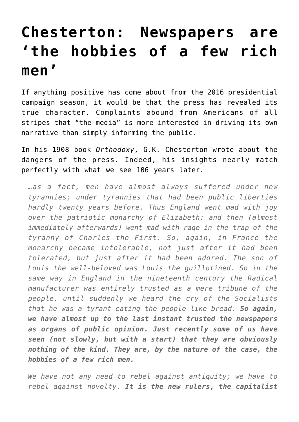## **[Chesterton: Newspapers are](https://intellectualtakeout.org/2016/04/chesterton-newspapers-are-the-hobbies-of-a-few-rich-men/) ['the hobbies of a few rich](https://intellectualtakeout.org/2016/04/chesterton-newspapers-are-the-hobbies-of-a-few-rich-men/) [men'](https://intellectualtakeout.org/2016/04/chesterton-newspapers-are-the-hobbies-of-a-few-rich-men/)**

If anything positive has come about from the 2016 presidential campaign season, it would be that the press has revealed its true character. Complaints abound from Americans of all stripes that "the media" is more interested in driving its own narrative than simply informing the public.

In his 1908 book *Orthodoxy*, G.K. Chesterton wrote about the dangers of the press. Indeed, his insights nearly match perfectly with what we see 106 years later.

*…as a fact, men have almost always suffered under new tyrannies; under tyrannies that had been public liberties hardly twenty years before. Thus England went mad with joy over the patriotic monarchy of Elizabeth; and then (almost immediately afterwards) went mad with rage in the trap of the tyranny of Charles the First. So, again, in France the monarchy became intolerable, not just after it had been tolerated, but just after it had been adored. The son of Louis the well-beloved was Louis the guillotined. So in the same way in England in the nineteenth century the Radical manufacturer was entirely trusted as a mere tribune of the people, until suddenly we heard the cry of the Socialists that he was a tyrant eating the people like bread. So again, we have almost up to the last instant trusted the newspapers as organs of public opinion. Just recently some of us have seen (not slowly, but with a start) that they are obviously nothing of the kind. They are, by the nature of the case, the hobbies of a few rich men.*

*We have not any need to rebel against antiquity; we have to rebel against novelty. It is the new rulers, the capitalist*